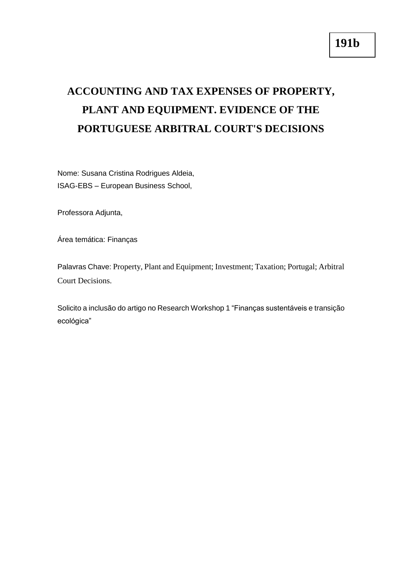## **ACCOUNTING AND TAX EXPENSES OF PROPERTY, PLANT AND EQUIPMENT. EVIDENCE OF THE PORTUGUESE ARBITRAL COURT'S DECISIONS**

Nome: Susana Cristina Rodrigues Aldeia, ISAG-EBS – European Business School,

Professora Adjunta,

Área temática: Finanças

Palavras Chave: Property, Plant and Equipment; Investment; Taxation; Portugal; Arbitral Court Decisions.

Solicito a inclusão do artigo no Research Workshop 1 "Finanças sustentáveis e transição ecológica"